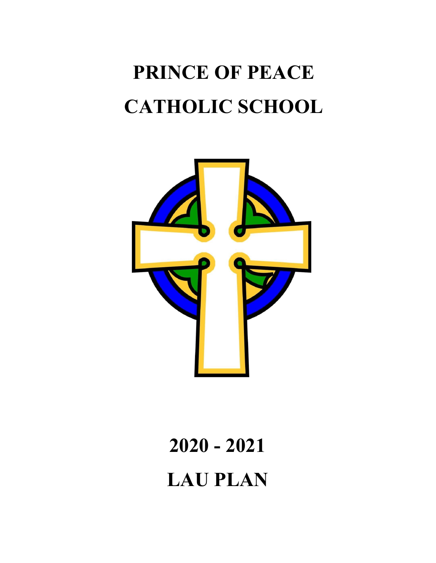# **PRINCE OF PEACE CATHOLIC SCHOOL**



# **2020 - 2021 LAU PLAN**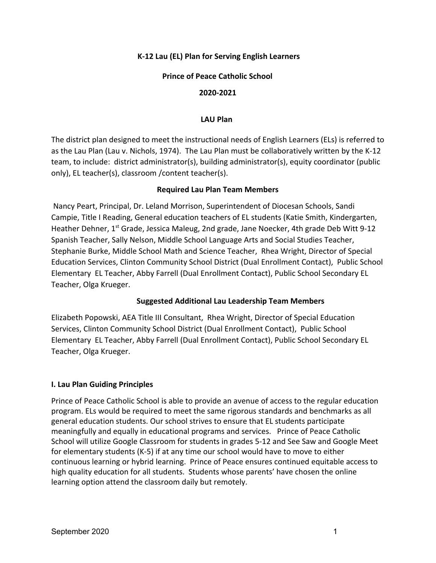## **K-12 Lau (EL) Plan for Serving English Learners**

## **Prince of Peace Catholic School**

#### **2020-2021**

#### **LAU Plan**

The district plan designed to meet the instructional needs of English Learners (ELs) is referred to as the Lau Plan (Lau v. Nichols, 1974). The Lau Plan must be collaboratively written by the K-12 team, to include: district administrator(s), building administrator(s), equity coordinator (public only), EL teacher(s), classroom /content teacher(s).

#### **Required Lau Plan Team Members**

Nancy Peart, Principal, Dr. Leland Morrison, Superintendent of Diocesan Schools, Sandi Campie, Title I Reading, General education teachers of EL students (Katie Smith, Kindergarten, Heather Dehner, 1<sup>st</sup> Grade, Jessica Maleug, 2nd grade, Jane Noecker, 4th grade Deb Witt 9-12 Spanish Teacher, Sally Nelson, Middle School Language Arts and Social Studies Teacher, Stephanie Burke, Middle School Math and Science Teacher, Rhea Wright, Director of Special Education Services, Clinton Community School District (Dual Enrollment Contact), Public School Elementary EL Teacher, Abby Farrell (Dual Enrollment Contact), Public School Secondary EL Teacher, Olga Krueger.

## **Suggested Additional Lau Leadership Team Members**

Elizabeth Popowski, AEA Title III Consultant, Rhea Wright, Director of Special Education Services, Clinton Community School District (Dual Enrollment Contact), Public School Elementary EL Teacher, Abby Farrell (Dual Enrollment Contact), Public School Secondary EL Teacher, Olga Krueger.

## **I. Lau Plan Guiding Principles**

Prince of Peace Catholic School is able to provide an avenue of access to the regular education program. ELs would be required to meet the same rigorous standards and benchmarks as all general education students. Our school strives to ensure that EL students participate meaningfully and equally in educational programs and services. Prince of Peace Catholic School will utilize Google Classroom for students in grades 5-12 and See Saw and Google Meet for elementary students (K-5) if at any time our school would have to move to either continuous learning or hybrid learning. Prince of Peace ensures continued equitable access to high quality education for all students. Students whose parents' have chosen the online learning option attend the classroom daily but remotely.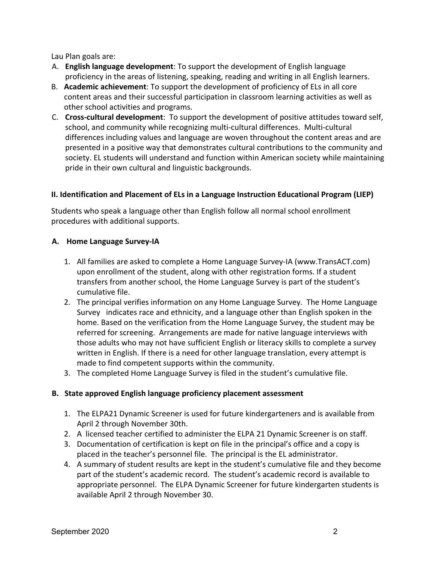Lau Plan goals are:

- A. **English language development**: To support the development of English language proficiency in the areas of listening, speaking, reading and writing in all English learners.
- B. **Academic achievement**: To support the development of proficiency of ELs in all core content areas and their successful participation in classroom learning activities as well as other school activities and programs.
- C. **Cross-cultural development**: To support the development of positive attitudes toward self, school, and community while recognizing multi-cultural differences. Multi-cultural differences including values and language are woven throughout the content areas and are presented in a positive way that demonstrates cultural contributions to the community and society. EL students will understand and function within American society while maintaining pride in their own cultural and linguistic backgrounds.

## **II. Identification and Placement of ELs in a Language Instruction Educational Program (LIEP)**

Students who speak a language other than English follow all normal school enrollment procedures with additional supports.

## **A. Home Language Survey-IA**

- 1. All families are asked to complete a Home Language Survey-IA (www.TransACT.com) upon enrollment of the student, along with other registration forms. If a student transfers from another school, the Home Language Survey is part of the student's cumulative file.
- 2. The principal verifies information on any Home Language Survey. The Home Language Survey indicates race and ethnicity, and a language other than English spoken in the home. Based on the verification from the Home Language Survey, the student may be referred for screening. Arrangements are made for native language interviews with those adults who may not have sufficient English or literacy skills to complete a survey written in English. If there is a need for other language translation, every attempt is made to find competent supports within the community.
- 3. The completed Home Language Survey is filed in the student's cumulative file.

## **B. State approved English language proficiency placement assessment**

- 1. The ELPA21 Dynamic Screener is used for future kindergarteners and is available from April 2 through November 30th.
- 2. A licensed teacher certified to administer the ELPA 21 Dynamic Screener is on staff.
- 3. Documentation of certification is kept on file in the principal's office and a copy is placed in the teacher's personnel file. The principal is the EL administrator.
- 4. A summary of student results are kept in the student's cumulative file and they become part of the student's academic record. The student's academic record is available to appropriate personnel. The ELPA Dynamic Screener for future kindergarten students is available April 2 through November 30.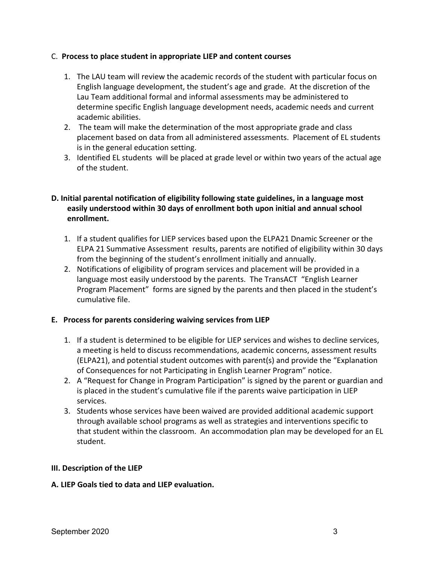## C. **Process to place student in appropriate LIEP and content courses**

- 1. The LAU team will review the academic records of the student with particular focus on English language development, the student's age and grade. At the discretion of the Lau Team additional formal and informal assessments may be administered to determine specific English language development needs, academic needs and current academic abilities.
- 2. The team will make the determination of the most appropriate grade and class placement based on data from all administered assessments. Placement of EL students is in the general education setting.
- 3. Identified EL students will be placed at grade level or within two years of the actual age of the student.

## **D. Initial parental notification of eligibility following state guidelines, in a language most easily understood within 30 days of enrollment both upon initial and annual school enrollment.**

- 1. If a student qualifies for LIEP services based upon the ELPA21 Dnamic Screener or the ELPA 21 Summative Assessment results, parents are notified of eligibility within 30 days from the beginning of the student's enrollment initially and annually.
- 2. Notifications of eligibility of program services and placement will be provided in a language most easily understood by the parents. The TransACT "English Learner Program Placement" forms are signed by the parents and then placed in the student's cumulative file.

## **E. Process for parents considering waiving services from LIEP**

- 1. If a student is determined to be eligible for LIEP services and wishes to decline services, a meeting is held to discuss recommendations, academic concerns, assessment results (ELPA21), and potential student outcomes with parent(s) and provide the "Explanation of Consequences for not Participating in English Learner Program" notice.
- 2. A "Request for Change in Program Participation" is signed by the parent or guardian and is placed in the student's cumulative file if the parents waive participation in LIEP services.
- 3. Students whose services have been waived are provided additional academic support through available school programs as well as strategies and interventions specific to that student within the classroom. An accommodation plan may be developed for an EL student.

## **III. Description of the LIEP**

## **A. LIEP Goals tied to data and LIEP evaluation.**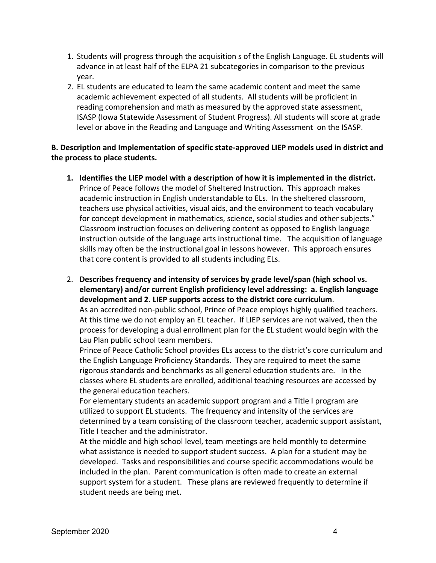- 1. Students will progress through the acquisition s of the English Language. EL students will advance in at least half of the ELPA 21 subcategories in comparison to the previous year.
- 2. EL students are educated to learn the same academic content and meet the same academic achievement expected of all students. All students will be proficient in reading comprehension and math as measured by the approved state assessment, ISASP (Iowa Statewide Assessment of Student Progress). All students will score at grade level or above in the Reading and Language and Writing Assessment on the ISASP.

## **B. Description and Implementation of specific state-approved LIEP models used in district and the process to place students.**

**1. Identifies the LIEP model with a description of how it is implemented in the district.** Prince of Peace follows the model of Sheltered Instruction. This approach makes academic instruction in English understandable to ELs. In the sheltered classroom, teachers use physical activities, visual aids, and the environment to teach vocabulary for concept development in mathematics, science, social studies and other subjects." Classroom instruction focuses on delivering content as opposed to English language instruction outside of the language arts instructional time. The acquisition of language skills may often be the instructional goal in lessons however. This approach ensures that core content is provided to all students including ELs.

2. **Describes frequency and intensity of services by grade level/span (high school vs. elementary) and/or current English proficiency level addressing: a. English language development and 2. LIEP supports access to the district core curriculum**. As an accredited non-public school, Prince of Peace employs highly qualified teachers.

At this time we do not employ an EL teacher. If LIEP services are not waived, then the process for developing a dual enrollment plan for the EL student would begin with the Lau Plan public school team members.

Prince of Peace Catholic School provides ELs access to the district's core curriculum and the English Language Proficiency Standards. They are required to meet the same rigorous standards and benchmarks as all general education students are. In the classes where EL students are enrolled, additional teaching resources are accessed by the general education teachers.

For elementary students an academic support program and a Title I program are utilized to support EL students. The frequency and intensity of the services are determined by a team consisting of the classroom teacher, academic support assistant, Title I teacher and the administrator.

At the middle and high school level, team meetings are held monthly to determine what assistance is needed to support student success. A plan for a student may be developed. Tasks and responsibilities and course specific accommodations would be included in the plan. Parent communication is often made to create an external support system for a student. These plans are reviewed frequently to determine if student needs are being met.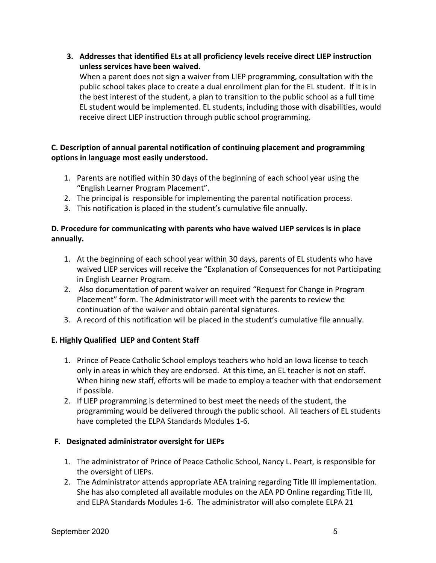**3. Addresses that identified ELs at all proficiency levels receive direct LIEP instruction unless services have been waived.**

When a parent does not sign a waiver from LIEP programming, consultation with the public school takes place to create a dual enrollment plan for the EL student. If it is in the best interest of the student, a plan to transition to the public school as a full time EL student would be implemented. EL students, including those with disabilities, would receive direct LIEP instruction through public school programming.

# **C. Description of annual parental notification of continuing placement and programming options in language most easily understood.**

- 1. Parents are notified within 30 days of the beginning of each school year using the "English Learner Program Placement".
- 2. The principal is responsible for implementing the parental notification process.
- 3. This notification is placed in the student's cumulative file annually.

## **D. Procedure for communicating with parents who have waived LIEP services is in place annually.**

- 1. At the beginning of each school year within 30 days, parents of EL students who have waived LIEP services will receive the "Explanation of Consequences for not Participating in English Learner Program.
- 2. Also documentation of parent waiver on required "Request for Change in Program Placement" form. The Administrator will meet with the parents to review the continuation of the waiver and obtain parental signatures.
- 3. A record of this notification will be placed in the student's cumulative file annually.

# **E. Highly Qualified LIEP and Content Staff**

- 1. Prince of Peace Catholic School employs teachers who hold an Iowa license to teach only in areas in which they are endorsed. At this time, an EL teacher is not on staff. When hiring new staff, efforts will be made to employ a teacher with that endorsement if possible.
- 2. If LIEP programming is determined to best meet the needs of the student, the programming would be delivered through the public school. All teachers of EL students have completed the ELPA Standards Modules 1-6.

## **F. Designated administrator oversight for LIEPs**

- 1. The administrator of Prince of Peace Catholic School, Nancy L. Peart, is responsible for the oversight of LIEPs.
- 2. The Administrator attends appropriate AEA training regarding Title III implementation. She has also completed all available modules on the AEA PD Online regarding Title III, and ELPA Standards Modules 1-6. The administrator will also complete ELPA 21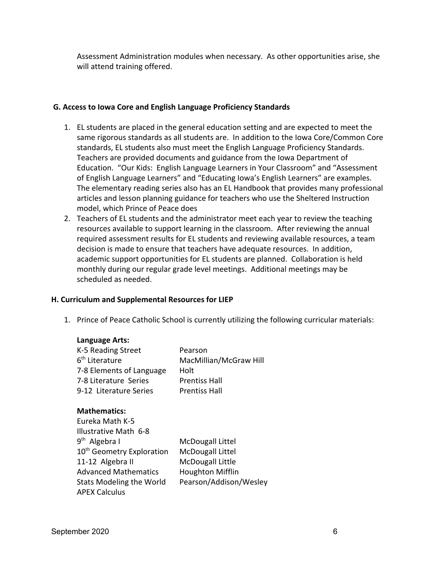Assessment Administration modules when necessary. As other opportunities arise, she will attend training offered.

## **G. Access to Iowa Core and English Language Proficiency Standards**

- 1. EL students are placed in the general education setting and are expected to meet the same rigorous standards as all students are. In addition to the Iowa Core/Common Core standards, EL students also must meet the English Language Proficiency Standards. Teachers are provided documents and guidance from the Iowa Department of Education. "Our Kids: English Language Learners in Your Classroom" and "Assessment of English Language Learners" and "Educating Iowa's English Learners" are examples. The elementary reading series also has an EL Handbook that provides many professional articles and lesson planning guidance for teachers who use the Sheltered Instruction model, which Prince of Peace does
- 2. Teachers of EL students and the administrator meet each year to review the teaching resources available to support learning in the classroom. After reviewing the annual required assessment results for EL students and reviewing available resources, a team decision is made to ensure that teachers have adequate resources. In addition, academic support opportunities for EL students are planned. Collaboration is held monthly during our regular grade level meetings. Additional meetings may be scheduled as needed.

## **H. Curriculum and Supplemental Resources for LIEP**

1. Prince of Peace Catholic School is currently utilizing the following curricular materials:

## **Language Arts:**

| Pearson                |
|------------------------|
| MacMillian/McGraw Hill |
| Holt                   |
| <b>Prentiss Hall</b>   |
| <b>Prentiss Hall</b>   |
|                        |

## **Mathematics:**

Eureka Math K-5 Illustrative Math 6-8  $9^{\text{th}}$ McDougall Littel 10<sup>th</sup> Geometry Exploration McDougall Littel 11-12 Algebra II McDougall Little Advanced Mathematics Houghton Mifflin Stats Modeling the World Pearson/Addison/Wesley APEX Calculus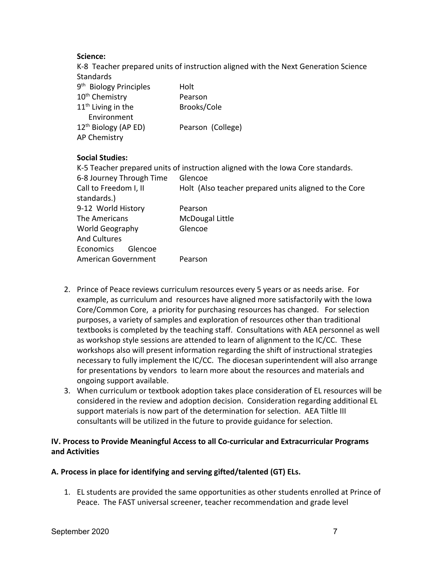## **Science:**

K-8 Teacher prepared units of instruction aligned with the Next Generation Science **Standards** 

| 9 <sup>th</sup> Biology Principles | Holt              |
|------------------------------------|-------------------|
| 10 <sup>th</sup> Chemistry         | Pearson           |
| $11th$ Living in the               | Brooks/Cole       |
| Environment                        |                   |
| 12 <sup>th</sup> Biology (AP ED)   | Pearson (College) |
| AP Chemistry                       |                   |

## **Social Studies:**

|                                               | K-5 Teacher prepared units of instruction aligned with the Iowa Core standards. |
|-----------------------------------------------|---------------------------------------------------------------------------------|
| 6-8 Journey Through Time                      | Glencoe                                                                         |
| Call to Freedom I, II<br>standards.)          | Holt (Also teacher prepared units aligned to the Core                           |
| 9-12 World History                            | Pearson                                                                         |
| The Americans                                 | McDougal Little                                                                 |
| <b>World Geography</b><br><b>And Cultures</b> | Glencoe                                                                         |
| <b>Economics</b><br>Glencoe                   |                                                                                 |
| American Government                           | Pearson                                                                         |

- 2. Prince of Peace reviews curriculum resources every 5 years or as needs arise. For example, as curriculum and resources have aligned more satisfactorily with the Iowa Core/Common Core, a priority for purchasing resources has changed. For selection purposes, a variety of samples and exploration of resources other than traditional textbooks is completed by the teaching staff. Consultations with AEA personnel as well as workshop style sessions are attended to learn of alignment to the IC/CC. These workshops also will present information regarding the shift of instructional strategies necessary to fully implement the IC/CC. The diocesan superintendent will also arrange for presentations by vendors to learn more about the resources and materials and ongoing support available.
- 3. When curriculum or textbook adoption takes place consideration of EL resources will be considered in the review and adoption decision. Consideration regarding additional EL support materials is now part of the determination for selection. AEA Tiltle III consultants will be utilized in the future to provide guidance for selection.

## **IV. Process to Provide Meaningful Access to all Co-curricular and Extracurricular Programs and Activities**

## **A. Process in place for identifying and serving gifted/talented (GT) ELs.**

1. EL students are provided the same opportunities as other students enrolled at Prince of Peace. The FAST universal screener, teacher recommendation and grade level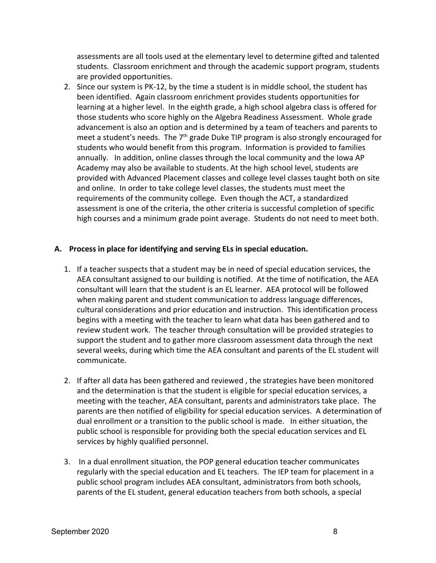assessments are all tools used at the elementary level to determine gifted and talented students. Classroom enrichment and through the academic support program, students are provided opportunities.

2. Since our system is PK-12, by the time a student is in middle school, the student has been identified. Again classroom enrichment provides students opportunities for learning at a higher level. In the eighth grade, a high school algebra class is offered for those students who score highly on the Algebra Readiness Assessment. Whole grade advancement is also an option and is determined by a team of teachers and parents to meet a student's needs. The 7<sup>th</sup> grade Duke TIP program is also strongly encouraged for students who would benefit from this program. Information is provided to families annually. In addition, online classes through the local community and the Iowa AP Academy may also be available to students. At the high school level, students are provided with Advanced Placement classes and college level classes taught both on site and online. In order to take college level classes, the students must meet the requirements of the community college. Even though the ACT, a standardized assessment is one of the criteria, the other criteria is successful completion of specific high courses and a minimum grade point average. Students do not need to meet both.

## **A. Process in place for identifying and serving ELs in special education.**

- 1. If a teacher suspects that a student may be in need of special education services, the AEA consultant assigned to our building is notified. At the time of notification, the AEA consultant will learn that the student is an EL learner. AEA protocol will be followed when making parent and student communication to address language differences, cultural considerations and prior education and instruction. This identification process begins with a meeting with the teacher to learn what data has been gathered and to review student work. The teacher through consultation will be provided strategies to support the student and to gather more classroom assessment data through the next several weeks, during which time the AEA consultant and parents of the EL student will communicate.
- 2. If after all data has been gathered and reviewed , the strategies have been monitored and the determination is that the student is eligible for special education services, a meeting with the teacher, AEA consultant, parents and administrators take place. The parents are then notified of eligibility for special education services. A determination of dual enrollment or a transition to the public school is made. In either situation, the public school is responsible for providing both the special education services and EL services by highly qualified personnel.
- 3. In a dual enrollment situation, the POP general education teacher communicates regularly with the special education and EL teachers. The IEP team for placement in a public school program includes AEA consultant, administrators from both schools, parents of the EL student, general education teachers from both schools, a special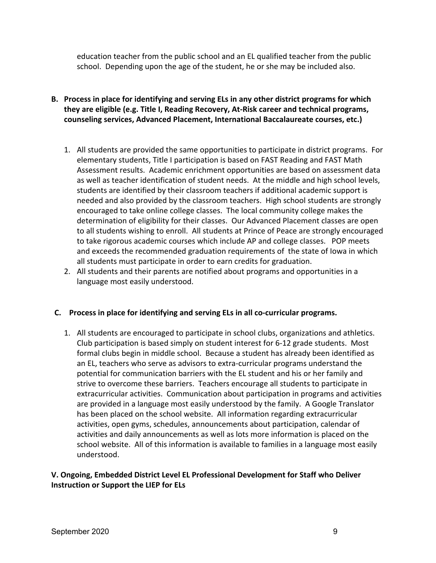education teacher from the public school and an EL qualified teacher from the public school. Depending upon the age of the student, he or she may be included also.

- **B. Process in place for identifying and serving ELs in any other district programs for which they are eligible (e.g. Title I, Reading Recovery, At-Risk career and technical programs, counseling services, Advanced Placement, International Baccalaureate courses, etc.)**
	- 1. All students are provided the same opportunities to participate in district programs. For elementary students, Title I participation is based on FAST Reading and FAST Math Assessment results. Academic enrichment opportunities are based on assessment data as well as teacher identification of student needs. At the middle and high school levels, students are identified by their classroom teachers if additional academic support is needed and also provided by the classroom teachers. High school students are strongly encouraged to take online college classes. The local community college makes the determination of eligibility for their classes. Our Advanced Placement classes are open to all students wishing to enroll. All students at Prince of Peace are strongly encouraged to take rigorous academic courses which include AP and college classes. POP meets and exceeds the recommended graduation requirements of the state of Iowa in which all students must participate in order to earn credits for graduation.
	- 2. All students and their parents are notified about programs and opportunities in a language most easily understood.

## **C. Process in place for identifying and serving ELs in all co-curricular programs.**

1. All students are encouraged to participate in school clubs, organizations and athletics. Club participation is based simply on student interest for 6-12 grade students. Most formal clubs begin in middle school. Because a student has already been identified as an EL, teachers who serve as advisors to extra-curricular programs understand the potential for communication barriers with the EL student and his or her family and strive to overcome these barriers. Teachers encourage all students to participate in extracurricular activities. Communication about participation in programs and activities are provided in a language most easily understood by the family. A Google Translator has been placed on the school website. All information regarding extracurricular activities, open gyms, schedules, announcements about participation, calendar of activities and daily announcements as well as lots more information is placed on the school website. All of this information is available to families in a language most easily understood.

## **V. Ongoing, Embedded District Level EL Professional Development for Staff who Deliver Instruction or Support the LIEP for ELs**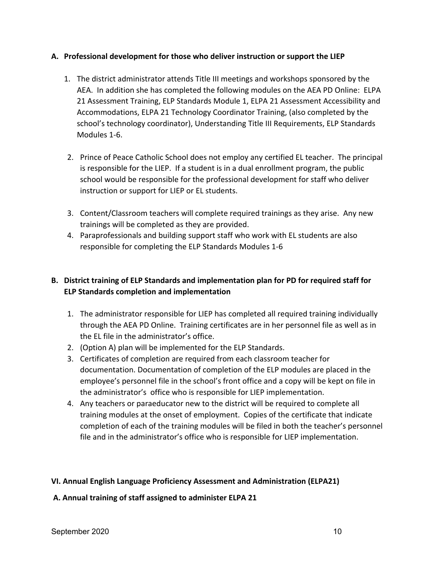## **A. Professional development for those who deliver instruction or support the LIEP**

- 1. The district administrator attends Title III meetings and workshops sponsored by the AEA. In addition she has completed the following modules on the AEA PD Online: ELPA 21 Assessment Training, ELP Standards Module 1, ELPA 21 Assessment Accessibility and Accommodations, ELPA 21 Technology Coordinator Training, (also completed by the school's technology coordinator), Understanding Title III Requirements, ELP Standards Modules 1-6.
- 2. Prince of Peace Catholic School does not employ any certified EL teacher. The principal is responsible for the LIEP. If a student is in a dual enrollment program, the public school would be responsible for the professional development for staff who deliver instruction or support for LIEP or EL students.
- 3. Content/Classroom teachers will complete required trainings as they arise. Any new trainings will be completed as they are provided.
- 4. Paraprofessionals and building support staff who work with EL students are also responsible for completing the ELP Standards Modules 1-6

# **B. District training of ELP Standards and implementation plan for PD for required staff for ELP Standards completion and implementation**

- 1. The administrator responsible for LIEP has completed all required training individually through the AEA PD Online. Training certificates are in her personnel file as well as in the EL file in the administrator's office.
- 2. (Option A) plan will be implemented for the ELP Standards.
- 3. Certificates of completion are required from each classroom teacher for documentation. Documentation of completion of the ELP modules are placed in the employee's personnel file in the school's front office and a copy will be kept on file in the administrator's office who is responsible for LIEP implementation.
- 4. Any teachers or paraeducator new to the district will be required to complete all training modules at the onset of employment. Copies of the certificate that indicate completion of each of the training modules will be filed in both the teacher's personnel file and in the administrator's office who is responsible for LIEP implementation.

## **VI. Annual English Language Proficiency Assessment and Administration (ELPA21)**

## **A. Annual training of staff assigned to administer ELPA 21**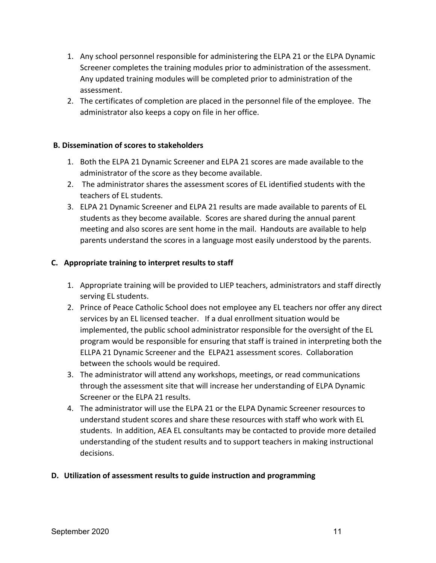- 1. Any school personnel responsible for administering the ELPA 21 or the ELPA Dynamic Screener completes the training modules prior to administration of the assessment. Any updated training modules will be completed prior to administration of the assessment.
- 2. The certificates of completion are placed in the personnel file of the employee. The administrator also keeps a copy on file in her office.

## **B. Dissemination of scores to stakeholders**

- 1. Both the ELPA 21 Dynamic Screener and ELPA 21 scores are made available to the administrator of the score as they become available.
- 2. The administrator shares the assessment scores of EL identified students with the teachers of EL students.
- 3. ELPA 21 Dynamic Screener and ELPA 21 results are made available to parents of EL students as they become available. Scores are shared during the annual parent meeting and also scores are sent home in the mail. Handouts are available to help parents understand the scores in a language most easily understood by the parents.

## **C. Appropriate training to interpret results to staff**

- 1. Appropriate training will be provided to LIEP teachers, administrators and staff directly serving EL students.
- 2. Prince of Peace Catholic School does not employee any EL teachers nor offer any direct services by an EL licensed teacher. If a dual enrollment situation would be implemented, the public school administrator responsible for the oversight of the EL program would be responsible for ensuring that staff is trained in interpreting both the ELLPA 21 Dynamic Screener and the ELPA21 assessment scores. Collaboration between the schools would be required.
- 3. The administrator will attend any workshops, meetings, or read communications through the assessment site that will increase her understanding of ELPA Dynamic Screener or the ELPA 21 results.
- 4. The administrator will use the ELPA 21 or the ELPA Dynamic Screener resources to understand student scores and share these resources with staff who work with EL students. In addition, AEA EL consultants may be contacted to provide more detailed understanding of the student results and to support teachers in making instructional decisions.

## **D. Utilization of assessment results to guide instruction and programming**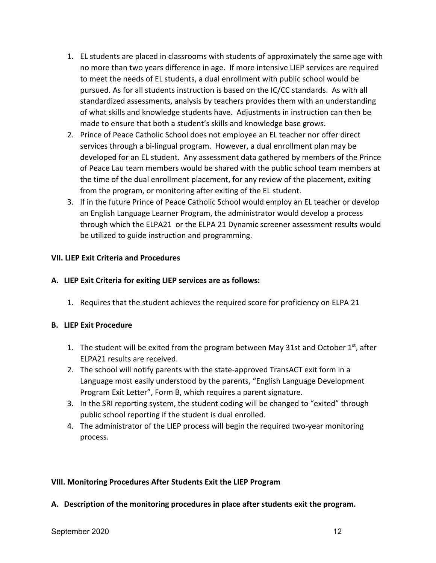- 1. EL students are placed in classrooms with students of approximately the same age with no more than two years difference in age. If more intensive LIEP services are required to meet the needs of EL students, a dual enrollment with public school would be pursued. As for all students instruction is based on the IC/CC standards. As with all standardized assessments, analysis by teachers provides them with an understanding of what skills and knowledge students have. Adjustments in instruction can then be made to ensure that both a student's skills and knowledge base grows.
- 2. Prince of Peace Catholic School does not employee an EL teacher nor offer direct services through a bi-lingual program. However, a dual enrollment plan may be developed for an EL student. Any assessment data gathered by members of the Prince of Peace Lau team members would be shared with the public school team members at the time of the dual enrollment placement, for any review of the placement, exiting from the program, or monitoring after exiting of the EL student.
- 3. If in the future Prince of Peace Catholic School would employ an EL teacher or develop an English Language Learner Program, the administrator would develop a process through which the ELPA21 or the ELPA 21 Dynamic screener assessment results would be utilized to guide instruction and programming.

## **VII. LIEP Exit Criteria and Procedures**

## **A. LIEP Exit Criteria for exiting LIEP services are as follows:**

1. Requires that the student achieves the required score for proficiency on ELPA 21

## **B. LIEP Exit Procedure**

- 1. The student will be exited from the program between May 31st and October  $1<sup>st</sup>$ , after ELPA21 results are received.
- 2. The school will notify parents with the state-approved TransACT exit form in a Language most easily understood by the parents, "English Language Development Program Exit Letter", Form B, which requires a parent signature.
- 3. In the SRI reporting system, the student coding will be changed to "exited" through public school reporting if the student is dual enrolled.
- 4. The administrator of the LIEP process will begin the required two-year monitoring process.

## **VIII. Monitoring Procedures After Students Exit the LIEP Program**

**A. Description of the monitoring procedures in place after students exit the program.**

#### September 2020 12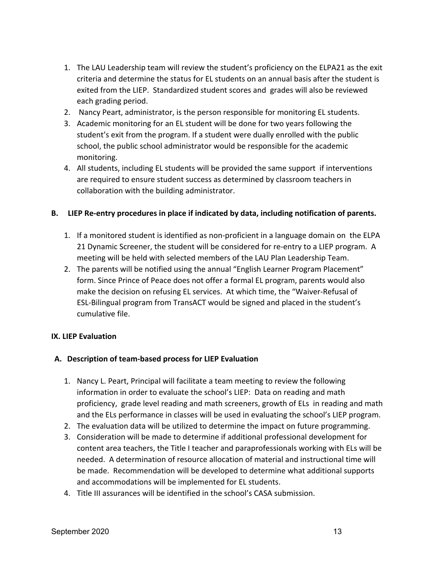- 1. The LAU Leadership team will review the student's proficiency on the ELPA21 as the exit criteria and determine the status for EL students on an annual basis after the student is exited from the LIEP. Standardized student scores and grades will also be reviewed each grading period.
- 2. Nancy Peart, administrator, is the person responsible for monitoring EL students.
- 3. Academic monitoring for an EL student will be done for two years following the student's exit from the program. If a student were dually enrolled with the public school, the public school administrator would be responsible for the academic monitoring.
- 4. All students, including EL students will be provided the same support if interventions are required to ensure student success as determined by classroom teachers in collaboration with the building administrator.

## **B. LIEP Re-entry procedures in place if indicated by data, including notification of parents.**

- 1. If a monitored student is identified as non-proficient in a language domain on the ELPA 21 Dynamic Screener, the student will be considered for re-entry to a LIEP program. A meeting will be held with selected members of the LAU Plan Leadership Team.
- 2. The parents will be notified using the annual "English Learner Program Placement" form. Since Prince of Peace does not offer a formal EL program, parents would also make the decision on refusing EL services. At which time, the "Waiver-Refusal of ESL-Bilingual program from TransACT would be signed and placed in the student's cumulative file.

## **IX. LIEP Evaluation**

## **A. Description of team-based process for LIEP Evaluation**

- 1. Nancy L. Peart, Principal will facilitate a team meeting to review the following information in order to evaluate the school's LIEP: Data on reading and math proficiency, grade level reading and math screeners, growth of ELs in reading and math and the ELs performance in classes will be used in evaluating the school's LIEP program.
- 2. The evaluation data will be utilized to determine the impact on future programming.
- 3. Consideration will be made to determine if additional professional development for content area teachers, the Title I teacher and paraprofessionals working with ELs will be needed. A determination of resource allocation of material and instructional time will be made. Recommendation will be developed to determine what additional supports and accommodations will be implemented for EL students.
- 4. Title III assurances will be identified in the school's CASA submission.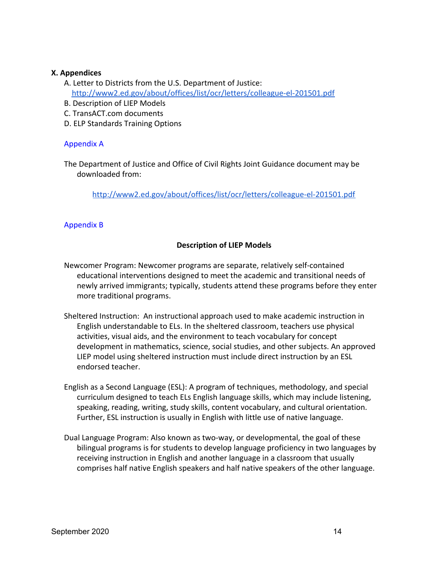#### **X. Appendices**

- A. Letter to Districts from the U.S. Department of Justice: <http://www2.ed.gov/about/offices/list/ocr/letters/colleague-el-201501.pdf>
- B. Description of LIEP Models
- C. TransACT.com documents
- D. ELP Standards Training Options

## Appendix A

The Department of Justice and Office of Civil Rights Joint Guidance document may be downloaded from:

<http://www2.ed.gov/about/offices/list/ocr/letters/colleague-el-201501.pdf>

## Appendix B

## **Description of LIEP Models**

- Newcomer Program: Newcomer programs are separate, relatively self-contained educational interventions designed to meet the academic and transitional needs of newly arrived immigrants; typically, students attend these programs before they enter more traditional programs.
- Sheltered Instruction: An instructional approach used to make academic instruction in English understandable to ELs. In the sheltered classroom, teachers use physical activities, visual aids, and the environment to teach vocabulary for concept development in mathematics, science, social studies, and other subjects. An approved LIEP model using sheltered instruction must include direct instruction by an ESL endorsed teacher.
- English as a Second Language (ESL): A program of techniques, methodology, and special curriculum designed to teach ELs English language skills, which may include listening, speaking, reading, writing, study skills, content vocabulary, and cultural orientation. Further, ESL instruction is usually in English with little use of native language.
- Dual Language Program: Also known as two-way, or developmental, the goal of these bilingual programs is for students to develop language proficiency in two languages by receiving instruction in English and another language in a classroom that usually comprises half native English speakers and half native speakers of the other language.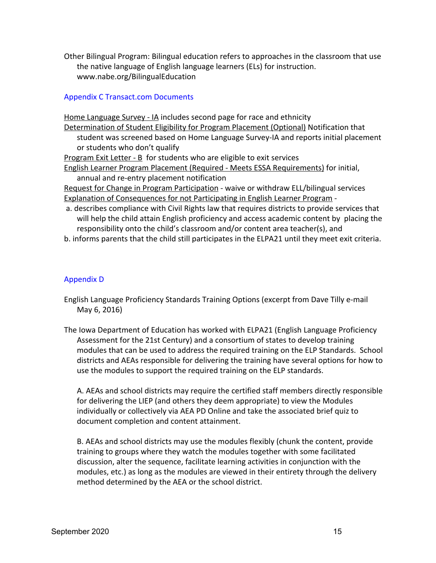Other Bilingual Program: Bilingual education refers to approaches in the classroom that use the native language of English language learners (ELs) for instruction. www.nabe.org/BilingualEducation

## Appendix C Transact.com Documents

Home Language Survey - IA includes second page for race and ethnicity Determination of Student Eligibility for Program Placement (Optional) Notification that student was screened based on Home Language Survey-IA and reports initial placement or students who don't qualify Program Exit Letter - B for students who are eligible to exit services English Learner Program Placement (Required - Meets ESSA Requirements) for initial, annual and re-entry placement notification Request for Change in Program Participation - waive or withdraw ELL/bilingual services Explanation of Consequences for not Participating in English Learner Program a. describes compliance with Civil Rights law that requires districts to provide services that

will help the child attain English proficiency and access academic content by placing the responsibility onto the child's classroom and/or content area teacher(s), and

b. informs parents that the child still participates in the ELPA21 until they meet exit criteria.

## Appendix D

- English Language Proficiency Standards Training Options (excerpt from Dave Tilly e-mail May 6, 2016)
- The Iowa Department of Education has worked with ELPA21 (English Language Proficiency Assessment for the 21st Century) and a consortium of states to develop training modules that can be used to address the required training on the ELP Standards. School districts and AEAs responsible for delivering the training have several options for how to use the modules to support the required training on the ELP standards.

A. AEAs and school districts may require the certified staff members directly responsible for delivering the LIEP (and others they deem appropriate) to view the Modules individually or collectively via AEA PD Online and take the associated brief quiz to document completion and content attainment.

B. AEAs and school districts may use the modules flexibly (chunk the content, provide training to groups where they watch the modules together with some facilitated discussion, alter the sequence, facilitate learning activities in conjunction with the modules, etc.) as long as the modules are viewed in their entirety through the delivery method determined by the AEA or the school district.